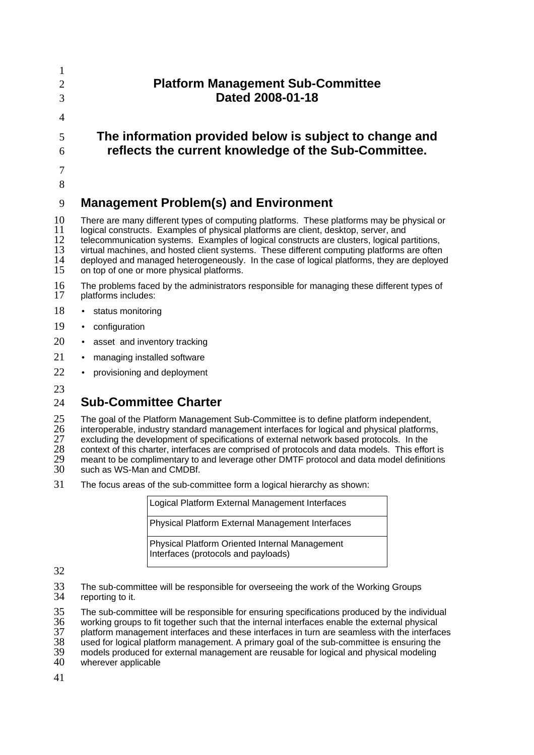| 3                                | <b>Platform Management Sub-Committee</b><br>Dated 2008-01-18                                                                                                                                                                                                                                                                                                                                                                                                                                                            |
|----------------------------------|-------------------------------------------------------------------------------------------------------------------------------------------------------------------------------------------------------------------------------------------------------------------------------------------------------------------------------------------------------------------------------------------------------------------------------------------------------------------------------------------------------------------------|
| $\overline{4}$<br>5<br>6         | The information provided below is subject to change and<br>reflects the current knowledge of the Sub-Committee.                                                                                                                                                                                                                                                                                                                                                                                                         |
| 8<br>9                           | <b>Management Problem(s) and Environment</b>                                                                                                                                                                                                                                                                                                                                                                                                                                                                            |
| 10<br>11<br>12<br>13<br>14<br>15 | There are many different types of computing platforms. These platforms may be physical or<br>logical constructs. Examples of physical platforms are client, desktop, server, and<br>telecommunication systems. Examples of logical constructs are clusters, logical partitions,<br>virtual machines, and hosted client systems. These different computing platforms are often<br>deployed and managed heterogeneously. In the case of logical platforms, they are deployed<br>on top of one or more physical platforms. |
| 16<br>17                         | The problems faced by the administrators responsible for managing these different types of<br>platforms includes:                                                                                                                                                                                                                                                                                                                                                                                                       |

- 18 status monitoring
- 19 • configuration
- 20 asset and inventory tracking
- 21 • managing installed software
- 22 • provisioning and deployment
- 23

## 24 **Sub-Committee Charter**

25 The goal of the Platform Management Sub-Committee is to define platform independent,

26 interoperable, industry standard management interfaces for logical and physical platforms,

27 excluding the development of specifications of external network based protocols. In the

28 29 context of this charter, interfaces are comprised of protocols and data models. This effort is meant to be complimentary to and leverage other DMTF protocol and data model definitions

- 30 such as WS-Man and CMDBf.
- 31 The focus areas of the sub-committee form a logical hierarchy as shown:

| Logical Platform External Management Interfaces                                       |
|---------------------------------------------------------------------------------------|
| <b>Physical Platform External Management Interfaces</b>                               |
| Physical Platform Oriented Internal Management<br>Interfaces (protocols and payloads) |

32

33 34 The sub-committee will be responsible for overseeing the work of the Working Groups reporting to it.

35 The sub-committee will be responsible for ensuring specifications produced by the individual

36 working groups to fit together such that the internal interfaces enable the external physical

37 platform management interfaces and these interfaces in turn are seamless with the interfaces

38 used for logical platform management. A primary goal of the sub-committee is ensuring the

39 models produced for external management are reusable for logical and physical modeling

40 wherever applicable

41